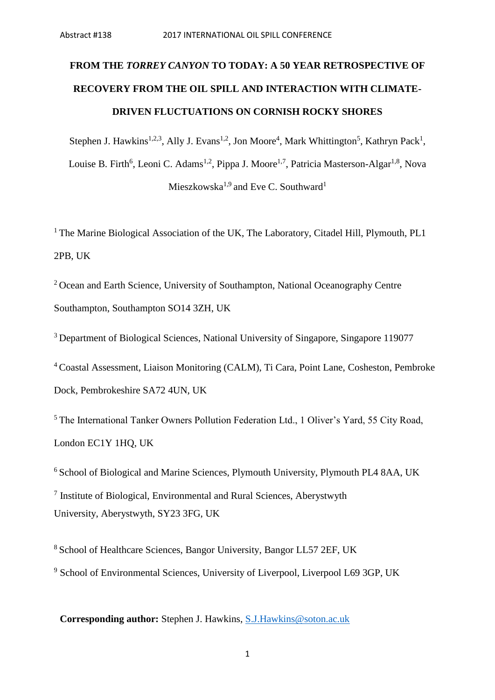# **FROM THE** *TORREY CANYON* **TO TODAY: A 50 YEAR RETROSPECTIVE OF RECOVERY FROM THE OIL SPILL AND INTERACTION WITH CLIMATE-DRIVEN FLUCTUATIONS ON CORNISH ROCKY SHORES**

Stephen J. Hawkins<sup>1,2,3</sup>, Ally J. Evans<sup>1,2</sup>, Jon Moore<sup>4</sup>, Mark Whittington<sup>5</sup>, Kathryn Pack<sup>1</sup>, Louise B. Firth<sup>6</sup>, Leoni C. Adams<sup>1,2</sup>, Pippa J. Moore<sup>1,7</sup>, Patricia Masterson-Algar<sup>1,8</sup>, Nova  $Mieszkowski<sup>1,9</sup>$  and Eve C. Southward<sup>1</sup>

<sup>1</sup> The Marine Biological Association of the UK, The Laboratory, Citadel Hill, Plymouth, PL1 2PB, UK

<sup>2</sup> Ocean and Earth Science, University of Southampton, National Oceanography Centre Southampton, Southampton SO14 3ZH, UK

<sup>3</sup> Department of Biological Sciences, National University of Singapore, Singapore 119077

<sup>4</sup>Coastal Assessment, Liaison Monitoring (CALM), Ti Cara, Point Lane, Cosheston, Pembroke Dock, Pembrokeshire SA72 4UN, UK

<sup>5</sup>The International Tanker Owners Pollution Federation Ltd., 1 Oliver's Yard, 55 City Road, London EC1Y 1HQ, UK

 $6$  School of Biological and Marine Sciences, Plymouth University, Plymouth PL4 8AA, UK <sup>7</sup> Institute of Biological, Environmental and Rural Sciences, Aberystwyth University, Aberystwyth, SY23 3FG, UK

<sup>8</sup> School of Healthcare Sciences, Bangor University, Bangor LL57 2EF, UK <sup>9</sup> School of Environmental Sciences, University of Liverpool, Liverpool L69 3GP, UK

**Corresponding author:** Stephen J. Hawkins, [S.J.Hawkins@soton.ac.uk](mailto:S.J.Hawkins@soton.ac.uk)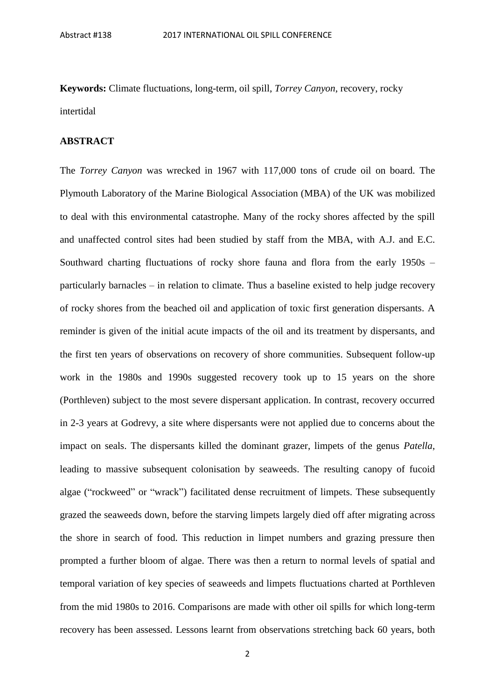**Keywords:** Climate fluctuations, long-term, oil spill, *Torrey Canyon*, recovery, rocky intertidal

### **ABSTRACT**

The *Torrey Canyon* was wrecked in 1967 with 117,000 tons of crude oil on board. The Plymouth Laboratory of the Marine Biological Association (MBA) of the UK was mobilized to deal with this environmental catastrophe. Many of the rocky shores affected by the spill and unaffected control sites had been studied by staff from the MBA, with A.J. and E.C. Southward charting fluctuations of rocky shore fauna and flora from the early 1950s – particularly barnacles – in relation to climate. Thus a baseline existed to help judge recovery of rocky shores from the beached oil and application of toxic first generation dispersants. A reminder is given of the initial acute impacts of the oil and its treatment by dispersants, and the first ten years of observations on recovery of shore communities. Subsequent follow-up work in the 1980s and 1990s suggested recovery took up to 15 years on the shore (Porthleven) subject to the most severe dispersant application. In contrast, recovery occurred in 2-3 years at Godrevy, a site where dispersants were not applied due to concerns about the impact on seals. The dispersants killed the dominant grazer, limpets of the genus *Patella*, leading to massive subsequent colonisation by seaweeds. The resulting canopy of fucoid algae ("rockweed" or "wrack") facilitated dense recruitment of limpets. These subsequently grazed the seaweeds down, before the starving limpets largely died off after migrating across the shore in search of food. This reduction in limpet numbers and grazing pressure then prompted a further bloom of algae. There was then a return to normal levels of spatial and temporal variation of key species of seaweeds and limpets fluctuations charted at Porthleven from the mid 1980s to 2016. Comparisons are made with other oil spills for which long-term recovery has been assessed. Lessons learnt from observations stretching back 60 years, both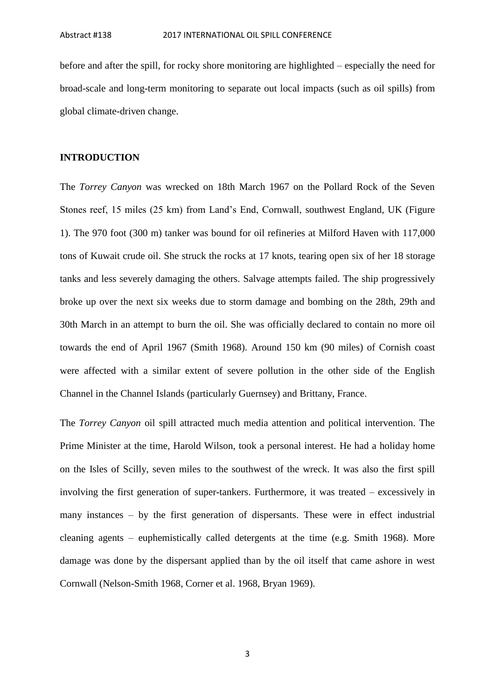before and after the spill, for rocky shore monitoring are highlighted – especially the need for broad-scale and long-term monitoring to separate out local impacts (such as oil spills) from global climate-driven change.

#### **INTRODUCTION**

The *Torrey Canyon* was wrecked on 18th March 1967 on the Pollard Rock of the Seven Stones reef, 15 miles (25 km) from Land's End, Cornwall, southwest England, UK (Figure 1). The 970 foot (300 m) tanker was bound for oil refineries at Milford Haven with 117,000 tons of Kuwait crude oil. She struck the rocks at 17 knots, tearing open six of her 18 storage tanks and less severely damaging the others. Salvage attempts failed. The ship progressively broke up over the next six weeks due to storm damage and bombing on the 28th, 29th and 30th March in an attempt to burn the oil. She was officially declared to contain no more oil towards the end of April 1967 (Smith 1968). Around 150 km (90 miles) of Cornish coast were affected with a similar extent of severe pollution in the other side of the English Channel in the Channel Islands (particularly Guernsey) and Brittany, France.

The *Torrey Canyon* oil spill attracted much media attention and political intervention. The Prime Minister at the time, Harold Wilson, took a personal interest. He had a holiday home on the Isles of Scilly, seven miles to the southwest of the wreck. It was also the first spill involving the first generation of super-tankers. Furthermore, it was treated – excessively in many instances – by the first generation of dispersants. These were in effect industrial cleaning agents – euphemistically called detergents at the time (e.g. Smith 1968). More damage was done by the dispersant applied than by the oil itself that came ashore in west Cornwall (Nelson-Smith 1968, Corner et al. 1968, Bryan 1969).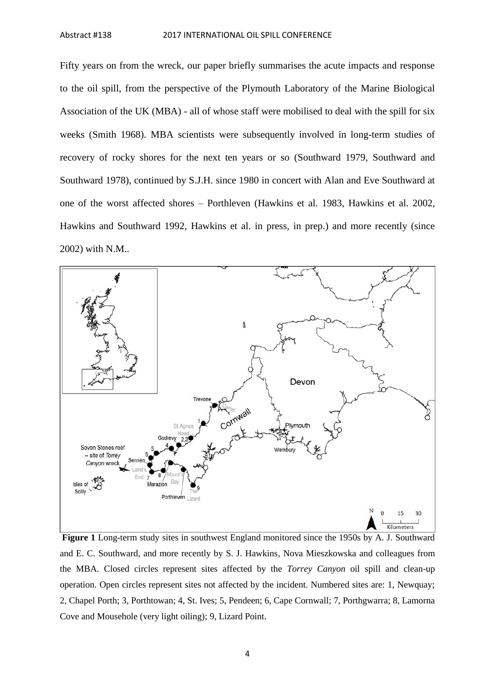Fifty years on from the wreck, our paper briefly summarises the acute impacts and response to the oil spill, from the perspective of the Plymouth Laboratory of the Marine Biological Association of the UK (MBA) - all of whose staff were mobilised to deal with the spill for six weeks (Smith 1968). MBA scientists were subsequently involved in long-term studies of recovery of rocky shores for the next ten years or so (Southward 1979, Southward and Southward 1978), continued by S.J.H. since 1980 in concert with Alan and Eve Southward at one of the worst affected shores – Porthleven (Hawkins et al. 1983, Hawkins et al. 2002, Hawkins and Southward 1992, Hawkins et al. in press, in prep.) and more recently (since 2002) with N.M..



**Figure 1** Long-term study sites in southwest England monitored since the 1950s by A. J. Southward and E. C. Southward, and more recently by S. J. Hawkins, Nova Mieszkowska and colleagues from the MBA. Closed circles represent sites affected by the *Torrey Canyon* oil spill and clean-up operation. Open circles represent sites not affected by the incident. Numbered sites are: 1, Newquay; 2, Chapel Porth; 3, Porthtowan; 4, St. Ives; 5, Pendeen; 6, Cape Cornwall; 7, Porthgwarra; 8, Lamorna Cove and Mousehole (very light oiling); 9, Lizard Point.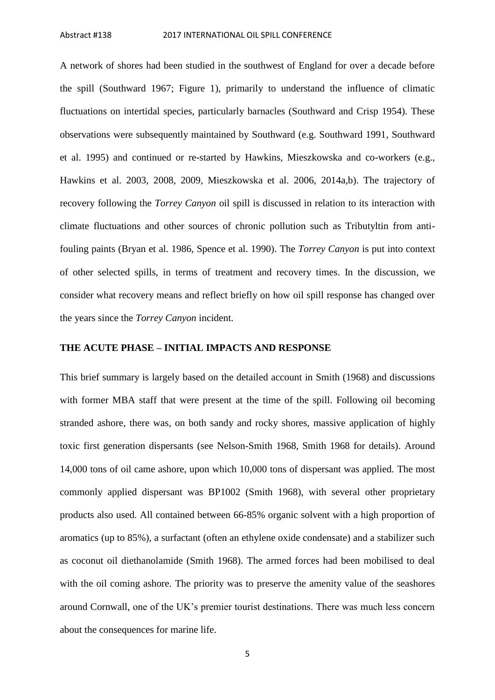A network of shores had been studied in the southwest of England for over a decade before the spill (Southward 1967; Figure 1), primarily to understand the influence of climatic fluctuations on intertidal species, particularly barnacles (Southward and Crisp 1954). These observations were subsequently maintained by Southward (e.g. Southward 1991, Southward et al. 1995) and continued or re-started by Hawkins, Mieszkowska and co-workers (e.g., Hawkins et al. 2003, 2008, 2009, Mieszkowska et al. 2006, 2014a,b). The trajectory of recovery following the *Torrey Canyon* oil spill is discussed in relation to its interaction with climate fluctuations and other sources of chronic pollution such as Tributyltin from antifouling paints (Bryan et al. 1986, Spence et al. 1990). The *Torrey Canyon* is put into context of other selected spills, in terms of treatment and recovery times. In the discussion, we consider what recovery means and reflect briefly on how oil spill response has changed over the years since the *Torrey Canyon* incident.

#### **THE ACUTE PHASE – INITIAL IMPACTS AND RESPONSE**

This brief summary is largely based on the detailed account in Smith (1968) and discussions with former MBA staff that were present at the time of the spill. Following oil becoming stranded ashore, there was, on both sandy and rocky shores, massive application of highly toxic first generation dispersants (see Nelson-Smith 1968, Smith 1968 for details). Around 14,000 tons of oil came ashore, upon which 10,000 tons of dispersant was applied. The most commonly applied dispersant was BP1002 (Smith 1968), with several other proprietary products also used. All contained between 66-85% organic solvent with a high proportion of aromatics (up to 85%), a surfactant (often an ethylene oxide condensate) and a stabilizer such as coconut oil diethanolamide (Smith 1968). The armed forces had been mobilised to deal with the oil coming ashore. The priority was to preserve the amenity value of the seashores around Cornwall, one of the UK's premier tourist destinations. There was much less concern about the consequences for marine life.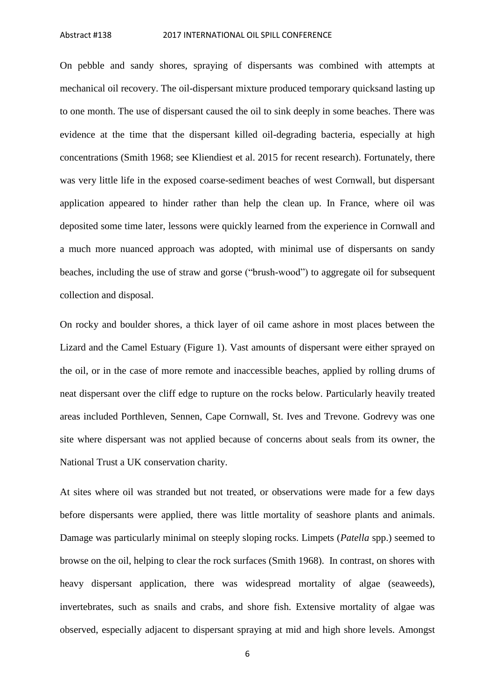On pebble and sandy shores, spraying of dispersants was combined with attempts at mechanical oil recovery. The oil-dispersant mixture produced temporary quicksand lasting up to one month. The use of dispersant caused the oil to sink deeply in some beaches. There was evidence at the time that the dispersant killed oil-degrading bacteria, especially at high concentrations (Smith 1968; see Kliendiest et al. 2015 for recent research). Fortunately, there was very little life in the exposed coarse-sediment beaches of west Cornwall, but dispersant application appeared to hinder rather than help the clean up. In France, where oil was deposited some time later, lessons were quickly learned from the experience in Cornwall and a much more nuanced approach was adopted, with minimal use of dispersants on sandy beaches, including the use of straw and gorse ("brush-wood") to aggregate oil for subsequent collection and disposal.

On rocky and boulder shores, a thick layer of oil came ashore in most places between the Lizard and the Camel Estuary (Figure 1). Vast amounts of dispersant were either sprayed on the oil, or in the case of more remote and inaccessible beaches, applied by rolling drums of neat dispersant over the cliff edge to rupture on the rocks below. Particularly heavily treated areas included Porthleven, Sennen, Cape Cornwall, St. Ives and Trevone. Godrevy was one site where dispersant was not applied because of concerns about seals from its owner, the National Trust a UK conservation charity.

At sites where oil was stranded but not treated, or observations were made for a few days before dispersants were applied, there was little mortality of seashore plants and animals. Damage was particularly minimal on steeply sloping rocks. Limpets (*Patella* spp.) seemed to browse on the oil, helping to clear the rock surfaces (Smith 1968). In contrast, on shores with heavy dispersant application, there was widespread mortality of algae (seaweeds), invertebrates, such as snails and crabs, and shore fish. Extensive mortality of algae was observed, especially adjacent to dispersant spraying at mid and high shore levels. Amongst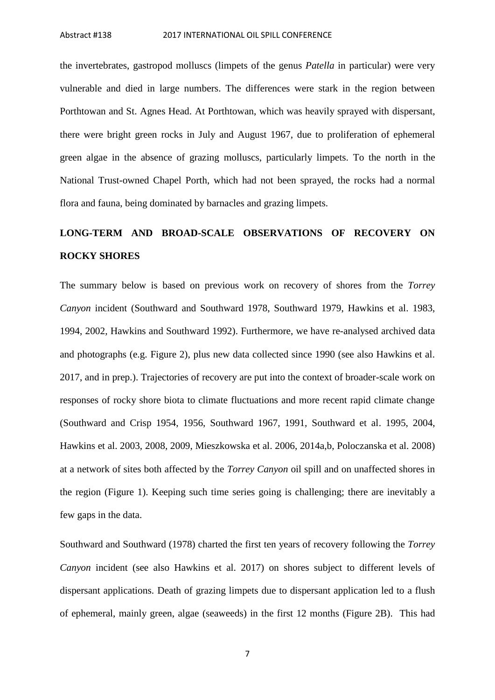the invertebrates, gastropod molluscs (limpets of the genus *Patella* in particular) were very vulnerable and died in large numbers. The differences were stark in the region between Porthtowan and St. Agnes Head. At Porthtowan, which was heavily sprayed with dispersant, there were bright green rocks in July and August 1967, due to proliferation of ephemeral green algae in the absence of grazing molluscs, particularly limpets. To the north in the National Trust-owned Chapel Porth, which had not been sprayed, the rocks had a normal flora and fauna, being dominated by barnacles and grazing limpets.

## **LONG-TERM AND BROAD-SCALE OBSERVATIONS OF RECOVERY ON ROCKY SHORES**

The summary below is based on previous work on recovery of shores from the *Torrey Canyon* incident (Southward and Southward 1978, Southward 1979, Hawkins et al. 1983, 1994, 2002, Hawkins and Southward 1992). Furthermore, we have re-analysed archived data and photographs (e.g. Figure 2), plus new data collected since 1990 (see also Hawkins et al. 2017, and in prep.). Trajectories of recovery are put into the context of broader-scale work on responses of rocky shore biota to climate fluctuations and more recent rapid climate change (Southward and Crisp 1954, 1956, Southward 1967, 1991, Southward et al. 1995, 2004, Hawkins et al. 2003, 2008, 2009, Mieszkowska et al. 2006, 2014a,b, Poloczanska et al. 2008) at a network of sites both affected by the *Torrey Canyon* oil spill and on unaffected shores in the region (Figure 1). Keeping such time series going is challenging; there are inevitably a few gaps in the data.

Southward and Southward (1978) charted the first ten years of recovery following the *Torrey Canyon* incident (see also Hawkins et al. 2017) on shores subject to different levels of dispersant applications. Death of grazing limpets due to dispersant application led to a flush of ephemeral, mainly green, algae (seaweeds) in the first 12 months (Figure 2B). This had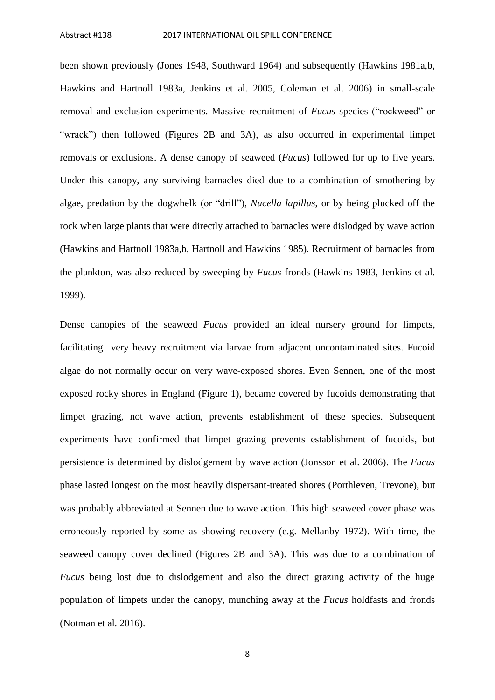been shown previously (Jones 1948, Southward 1964) and subsequently (Hawkins 1981a,b, Hawkins and Hartnoll 1983a, Jenkins et al. 2005, Coleman et al. 2006) in small-scale removal and exclusion experiments. Massive recruitment of *Fucus* species ("rockweed" or "wrack") then followed (Figures 2B and 3A), as also occurred in experimental limpet removals or exclusions. A dense canopy of seaweed (*Fucus*) followed for up to five years. Under this canopy, any surviving barnacles died due to a combination of smothering by algae, predation by the dogwhelk (or "drill"), *Nucella lapillus*, or by being plucked off the rock when large plants that were directly attached to barnacles were dislodged by wave action (Hawkins and Hartnoll 1983a,b, Hartnoll and Hawkins 1985). Recruitment of barnacles from the plankton, was also reduced by sweeping by *Fucus* fronds (Hawkins 1983, Jenkins et al. 1999).

Dense canopies of the seaweed *Fucus* provided an ideal nursery ground for limpets, facilitating very heavy recruitment via larvae from adjacent uncontaminated sites. Fucoid algae do not normally occur on very wave-exposed shores. Even Sennen, one of the most exposed rocky shores in England (Figure 1), became covered by fucoids demonstrating that limpet grazing, not wave action, prevents establishment of these species. Subsequent experiments have confirmed that limpet grazing prevents establishment of fucoids, but persistence is determined by dislodgement by wave action (Jonsson et al. 2006). The *Fucus* phase lasted longest on the most heavily dispersant-treated shores (Porthleven, Trevone), but was probably abbreviated at Sennen due to wave action. This high seaweed cover phase was erroneously reported by some as showing recovery (e.g. Mellanby 1972). With time, the seaweed canopy cover declined (Figures 2B and 3A). This was due to a combination of *Fucus* being lost due to dislodgement and also the direct grazing activity of the huge population of limpets under the canopy, munching away at the *Fucus* holdfasts and fronds (Notman et al. 2016).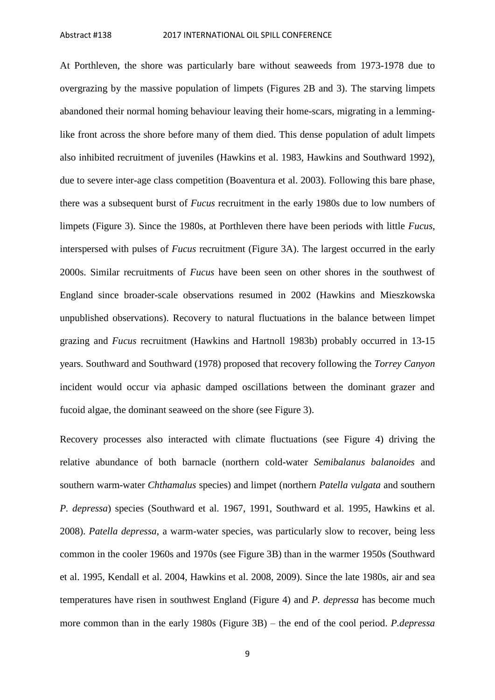At Porthleven, the shore was particularly bare without seaweeds from 1973-1978 due to overgrazing by the massive population of limpets (Figures 2B and 3). The starving limpets abandoned their normal homing behaviour leaving their home-scars, migrating in a lemminglike front across the shore before many of them died. This dense population of adult limpets also inhibited recruitment of juveniles (Hawkins et al. 1983, Hawkins and Southward 1992), due to severe inter-age class competition (Boaventura et al. 2003). Following this bare phase, there was a subsequent burst of *Fucus* recruitment in the early 1980s due to low numbers of limpets (Figure 3). Since the 1980s, at Porthleven there have been periods with little *Fucus*, interspersed with pulses of *Fucus* recruitment (Figure 3A). The largest occurred in the early 2000s. Similar recruitments of *Fucus* have been seen on other shores in the southwest of England since broader-scale observations resumed in 2002 (Hawkins and Mieszkowska unpublished observations). Recovery to natural fluctuations in the balance between limpet grazing and *Fucus* recruitment (Hawkins and Hartnoll 1983b) probably occurred in 13-15 years. Southward and Southward (1978) proposed that recovery following the *Torrey Canyon* incident would occur via aphasic damped oscillations between the dominant grazer and fucoid algae, the dominant seaweed on the shore (see Figure 3).

Recovery processes also interacted with climate fluctuations (see Figure 4) driving the relative abundance of both barnacle (northern cold-water *Semibalanus balanoides* and southern warm-water *Chthamalus* species) and limpet (northern *Patella vulgata* and southern *P. depressa*) species (Southward et al. 1967, 1991, Southward et al. 1995, Hawkins et al. 2008). *Patella depressa*, a warm-water species, was particularly slow to recover, being less common in the cooler 1960s and 1970s (see Figure 3B) than in the warmer 1950s (Southward et al. 1995, Kendall et al. 2004, Hawkins et al. 2008, 2009). Since the late 1980s, air and sea temperatures have risen in southwest England (Figure 4) and *P. depressa* has become much more common than in the early 1980s (Figure 3B) – the end of the cool period. *P.depressa*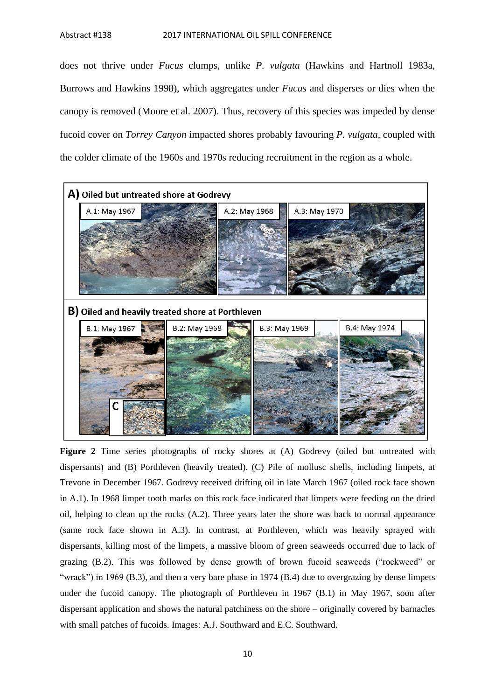does not thrive under *Fucus* clumps, unlike *P. vulgata* (Hawkins and Hartnoll 1983a, Burrows and Hawkins 1998), which aggregates under *Fucus* and disperses or dies when the canopy is removed (Moore et al. 2007). Thus, recovery of this species was impeded by dense fucoid cover on *Torrey Canyon* impacted shores probably favouring *P. vulgata*, coupled with the colder climate of the 1960s and 1970s reducing recruitment in the region as a whole.



Figure 2 Time series photographs of rocky shores at (A) Godrevy (oiled but untreated with dispersants) and (B) Porthleven (heavily treated). (C) Pile of mollusc shells, including limpets, at Trevone in December 1967. Godrevy received drifting oil in late March 1967 (oiled rock face shown in A.1). In 1968 limpet tooth marks on this rock face indicated that limpets were feeding on the dried oil, helping to clean up the rocks (A.2). Three years later the shore was back to normal appearance (same rock face shown in A.3). In contrast, at Porthleven, which was heavily sprayed with dispersants, killing most of the limpets, a massive bloom of green seaweeds occurred due to lack of grazing (B.2). This was followed by dense growth of brown fucoid seaweeds ("rockweed" or "wrack") in 1969 (B.3), and then a very bare phase in 1974 (B.4) due to overgrazing by dense limpets under the fucoid canopy. The photograph of Porthleven in 1967 (B.1) in May 1967, soon after dispersant application and shows the natural patchiness on the shore – originally covered by barnacles with small patches of fucoids. Images: A.J. Southward and E.C. Southward.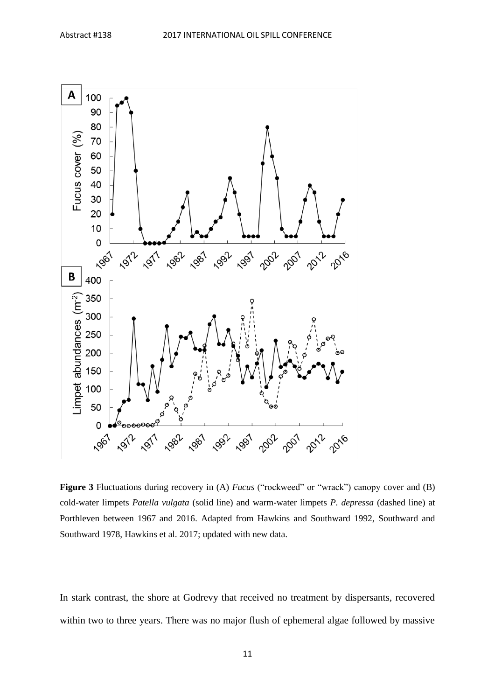

**Figure 3** Fluctuations during recovery in (A) *Fucus* ("rockweed" or "wrack") canopy cover and (B) cold-water limpets *Patella vulgata* (solid line) and warm-water limpets *P. depressa* (dashed line) at Porthleven between 1967 and 2016. Adapted from Hawkins and Southward 1992, Southward and Southward 1978, Hawkins et al. 2017; updated with new data.

In stark contrast, the shore at Godrevy that received no treatment by dispersants, recovered within two to three years. There was no major flush of ephemeral algae followed by massive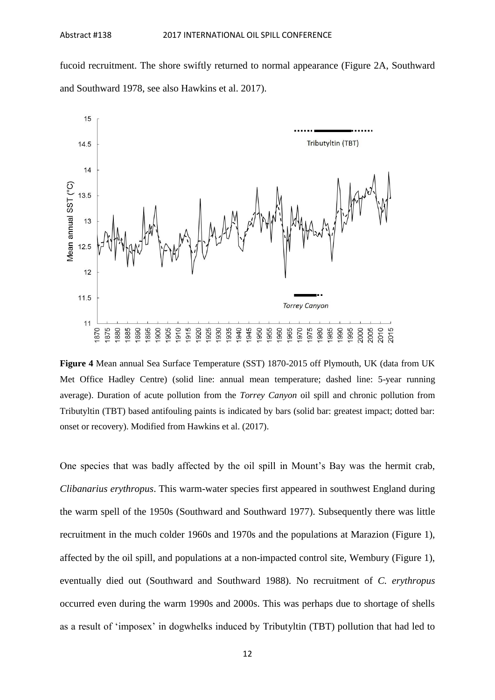fucoid recruitment. The shore swiftly returned to normal appearance (Figure 2A, Southward and Southward 1978, see also Hawkins et al. 2017).



**Figure 4** Mean annual Sea Surface Temperature (SST) 1870-2015 off Plymouth, UK (data from UK Met Office Hadley Centre) (solid line: annual mean temperature; dashed line: 5-year running average). Duration of acute pollution from the *Torrey Canyon* oil spill and chronic pollution from Tributyltin (TBT) based antifouling paints is indicated by bars (solid bar: greatest impact; dotted bar: onset or recovery). Modified from Hawkins et al. (2017).

One species that was badly affected by the oil spill in Mount's Bay was the hermit crab, *Clibanarius erythropus*. This warm-water species first appeared in southwest England during the warm spell of the 1950s (Southward and Southward 1977). Subsequently there was little recruitment in the much colder 1960s and 1970s and the populations at Marazion (Figure 1), affected by the oil spill, and populations at a non-impacted control site, Wembury (Figure 1), eventually died out (Southward and Southward 1988). No recruitment of *C. erythropus* occurred even during the warm 1990s and 2000s. This was perhaps due to shortage of shells as a result of 'imposex' in dogwhelks induced by Tributyltin (TBT) pollution that had led to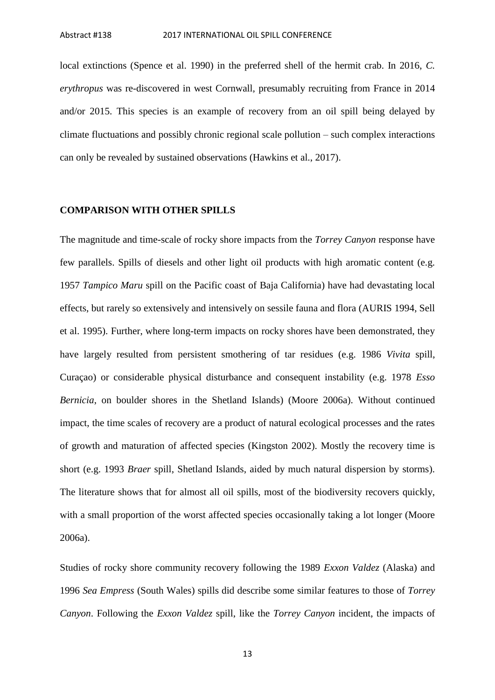local extinctions (Spence et al. 1990) in the preferred shell of the hermit crab. In 2016, *C. erythropus* was re-discovered in west Cornwall, presumably recruiting from France in 2014 and/or 2015. This species is an example of recovery from an oil spill being delayed by climate fluctuations and possibly chronic regional scale pollution – such complex interactions can only be revealed by sustained observations (Hawkins et al., 2017).

#### **COMPARISON WITH OTHER SPILLS**

The magnitude and time-scale of rocky shore impacts from the *Torrey Canyon* response have few parallels. Spills of diesels and other light oil products with high aromatic content (e.g. 1957 *Tampico Maru* spill on the Pacific coast of Baja California) have had devastating local effects, but rarely so extensively and intensively on sessile fauna and flora (AURIS 1994, Sell et al. 1995). Further, where long-term impacts on rocky shores have been demonstrated, they have largely resulted from persistent smothering of tar residues (e.g. 1986 *Vivita* spill, Curaçao) or considerable physical disturbance and consequent instability (e.g. 1978 *Esso Bernicia*, on boulder shores in the Shetland Islands) (Moore 2006a). Without continued impact, the time scales of recovery are a product of natural ecological processes and the rates of growth and maturation of affected species (Kingston 2002). Mostly the recovery time is short (e.g. 1993 *Braer* spill, Shetland Islands, aided by much natural dispersion by storms). The literature shows that for almost all oil spills, most of the biodiversity recovers quickly, with a small proportion of the worst affected species occasionally taking a lot longer (Moore 2006a).

Studies of rocky shore community recovery following the 1989 *Exxon Valdez* (Alaska) and 1996 *Sea Empress* (South Wales) spills did describe some similar features to those of *Torrey Canyon*. Following the *Exxon Valdez* spill, like the *Torrey Canyon* incident, the impacts of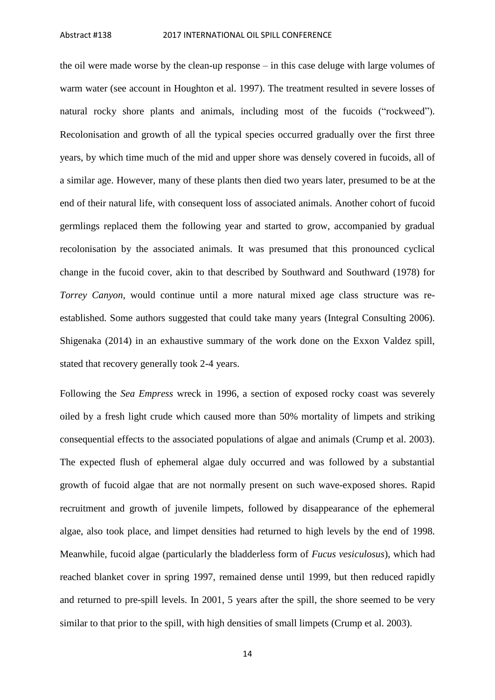the oil were made worse by the clean-up response – in this case deluge with large volumes of warm water (see account in Houghton et al. 1997). The treatment resulted in severe losses of natural rocky shore plants and animals, including most of the fucoids ("rockweed"). Recolonisation and growth of all the typical species occurred gradually over the first three years, by which time much of the mid and upper shore was densely covered in fucoids, all of a similar age. However, many of these plants then died two years later, presumed to be at the end of their natural life, with consequent loss of associated animals. Another cohort of fucoid germlings replaced them the following year and started to grow, accompanied by gradual recolonisation by the associated animals. It was presumed that this pronounced cyclical change in the fucoid cover, akin to that described by Southward and Southward (1978) for *Torrey Canyon*, would continue until a more natural mixed age class structure was reestablished. Some authors suggested that could take many years (Integral Consulting 2006). Shigenaka (2014) in an exhaustive summary of the work done on the Exxon Valdez spill, stated that recovery generally took 2-4 years.

Following the *Sea Empress* wreck in 1996, a section of exposed rocky coast was severely oiled by a fresh light crude which caused more than 50% mortality of limpets and striking consequential effects to the associated populations of algae and animals (Crump et al. 2003). The expected flush of ephemeral algae duly occurred and was followed by a substantial growth of fucoid algae that are not normally present on such wave-exposed shores. Rapid recruitment and growth of juvenile limpets, followed by disappearance of the ephemeral algae, also took place, and limpet densities had returned to high levels by the end of 1998. Meanwhile, fucoid algae (particularly the bladderless form of *Fucus vesiculosus*), which had reached blanket cover in spring 1997, remained dense until 1999, but then reduced rapidly and returned to pre-spill levels. In 2001, 5 years after the spill, the shore seemed to be very similar to that prior to the spill, with high densities of small limpets (Crump et al. 2003).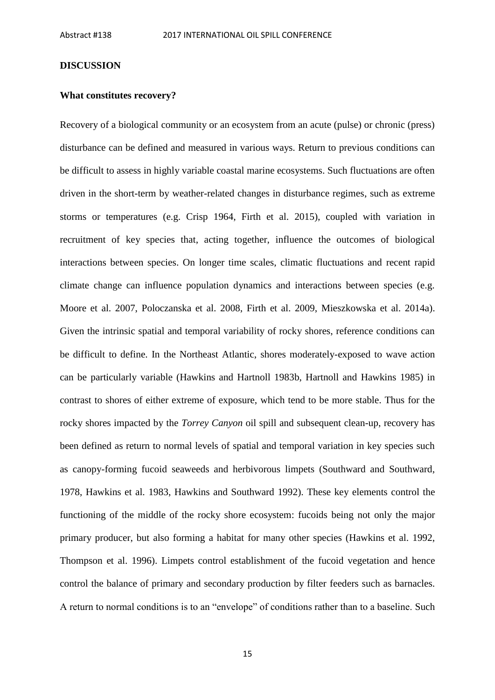#### **DISCUSSION**

#### **What constitutes recovery?**

Recovery of a biological community or an ecosystem from an acute (pulse) or chronic (press) disturbance can be defined and measured in various ways. Return to previous conditions can be difficult to assess in highly variable coastal marine ecosystems. Such fluctuations are often driven in the short-term by weather-related changes in disturbance regimes, such as extreme storms or temperatures (e.g. Crisp 1964, Firth et al. 2015), coupled with variation in recruitment of key species that, acting together, influence the outcomes of biological interactions between species. On longer time scales, climatic fluctuations and recent rapid climate change can influence population dynamics and interactions between species (e.g. Moore et al. 2007, Poloczanska et al. 2008, Firth et al. 2009, Mieszkowska et al. 2014a). Given the intrinsic spatial and temporal variability of rocky shores, reference conditions can be difficult to define. In the Northeast Atlantic, shores moderately-exposed to wave action can be particularly variable (Hawkins and Hartnoll 1983b, Hartnoll and Hawkins 1985) in contrast to shores of either extreme of exposure, which tend to be more stable. Thus for the rocky shores impacted by the *Torrey Canyon* oil spill and subsequent clean-up, recovery has been defined as return to normal levels of spatial and temporal variation in key species such as canopy-forming fucoid seaweeds and herbivorous limpets (Southward and Southward, 1978, Hawkins et al. 1983, Hawkins and Southward 1992). These key elements control the functioning of the middle of the rocky shore ecosystem: fucoids being not only the major primary producer, but also forming a habitat for many other species (Hawkins et al. 1992, Thompson et al. 1996). Limpets control establishment of the fucoid vegetation and hence control the balance of primary and secondary production by filter feeders such as barnacles. A return to normal conditions is to an "envelope" of conditions rather than to a baseline. Such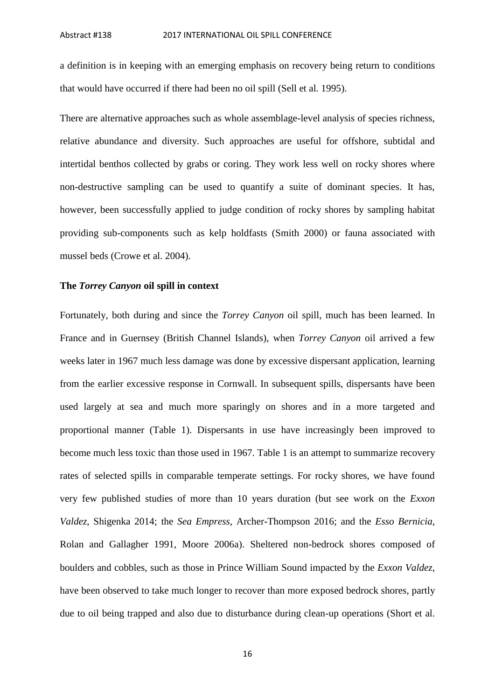a definition is in keeping with an emerging emphasis on recovery being return to conditions that would have occurred if there had been no oil spill (Sell et al. 1995).

There are alternative approaches such as whole assemblage-level analysis of species richness, relative abundance and diversity. Such approaches are useful for offshore, subtidal and intertidal benthos collected by grabs or coring. They work less well on rocky shores where non-destructive sampling can be used to quantify a suite of dominant species. It has, however, been successfully applied to judge condition of rocky shores by sampling habitat providing sub-components such as kelp holdfasts (Smith 2000) or fauna associated with mussel beds (Crowe et al. 2004).

#### **The** *Torrey Canyon* **oil spill in context**

Fortunately, both during and since the *Torrey Canyon* oil spill, much has been learned. In France and in Guernsey (British Channel Islands), when *Torrey Canyon* oil arrived a few weeks later in 1967 much less damage was done by excessive dispersant application, learning from the earlier excessive response in Cornwall. In subsequent spills, dispersants have been used largely at sea and much more sparingly on shores and in a more targeted and proportional manner (Table 1). Dispersants in use have increasingly been improved to become much less toxic than those used in 1967. Table 1 is an attempt to summarize recovery rates of selected spills in comparable temperate settings. For rocky shores, we have found very few published studies of more than 10 years duration (but see work on the *Exxon Valdez*, Shigenka 2014; the *Sea Empress*, Archer-Thompson 2016; and the *Esso Bernicia*, Rolan and Gallagher 1991, Moore 2006a). Sheltered non-bedrock shores composed of boulders and cobbles, such as those in Prince William Sound impacted by the *Exxon Valdez*, have been observed to take much longer to recover than more exposed bedrock shores, partly due to oil being trapped and also due to disturbance during clean-up operations (Short et al.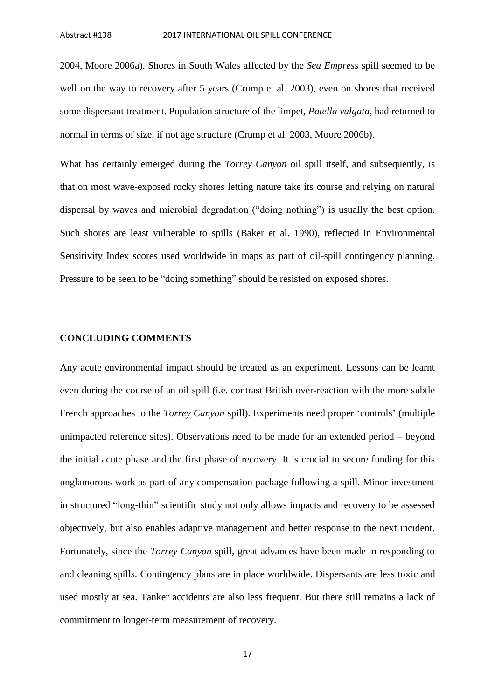2004, Moore 2006a). Shores in South Wales affected by the *Sea Empress* spill seemed to be well on the way to recovery after 5 years (Crump et al. 2003), even on shores that received some dispersant treatment. Population structure of the limpet, *Patella vulgata*, had returned to normal in terms of size, if not age structure (Crump et al. 2003, Moore 2006b).

What has certainly emerged during the *Torrey Canyon* oil spill itself, and subsequently, is that on most wave-exposed rocky shores letting nature take its course and relying on natural dispersal by waves and microbial degradation ("doing nothing") is usually the best option. Such shores are least vulnerable to spills (Baker et al. 1990), reflected in Environmental Sensitivity Index scores used worldwide in maps as part of oil-spill contingency planning. Pressure to be seen to be "doing something" should be resisted on exposed shores.

#### **CONCLUDING COMMENTS**

Any acute environmental impact should be treated as an experiment. Lessons can be learnt even during the course of an oil spill (i.e. contrast British over-reaction with the more subtle French approaches to the *Torrey Canyon* spill). Experiments need proper 'controls' (multiple unimpacted reference sites). Observations need to be made for an extended period – beyond the initial acute phase and the first phase of recovery. It is crucial to secure funding for this unglamorous work as part of any compensation package following a spill. Minor investment in structured "long-thin" scientific study not only allows impacts and recovery to be assessed objectively, but also enables adaptive management and better response to the next incident. Fortunately, since the *Torrey Canyon* spill, great advances have been made in responding to and cleaning spills. Contingency plans are in place worldwide. Dispersants are less toxic and used mostly at sea. Tanker accidents are also less frequent. But there still remains a lack of commitment to longer-term measurement of recovery.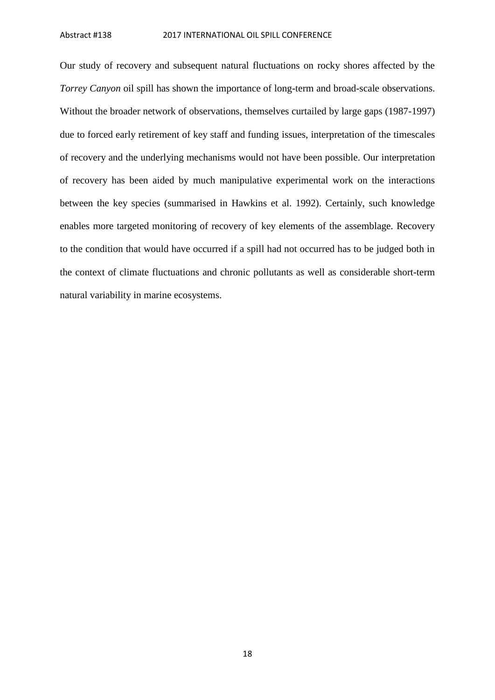Our study of recovery and subsequent natural fluctuations on rocky shores affected by the *Torrey Canyon* oil spill has shown the importance of long-term and broad-scale observations. Without the broader network of observations, themselves curtailed by large gaps (1987-1997) due to forced early retirement of key staff and funding issues, interpretation of the timescales of recovery and the underlying mechanisms would not have been possible. Our interpretation of recovery has been aided by much manipulative experimental work on the interactions between the key species (summarised in Hawkins et al. 1992). Certainly, such knowledge enables more targeted monitoring of recovery of key elements of the assemblage. Recovery to the condition that would have occurred if a spill had not occurred has to be judged both in the context of climate fluctuations and chronic pollutants as well as considerable short-term natural variability in marine ecosystems.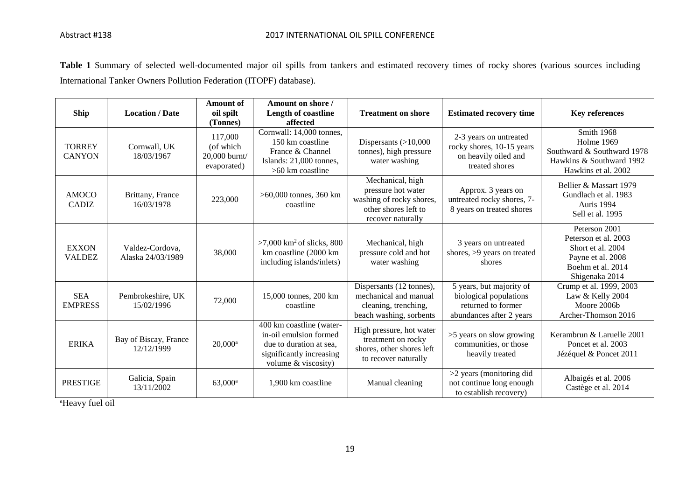Table 1 Summary of selected well-documented major oil spills from tankers and estimated recovery times of rocky shores (various sources including International Tanker Owners Pollution Federation (ITOPF) database).

| Ship                           | <b>Location / Date</b>               | <b>Amount of</b><br>oil spilt<br>(Tonnes)            | Amount on shore /<br>Length of coastline<br>affected                                                                             | <b>Treatment on shore</b>                                                                                       | <b>Estimated recovery time</b>                                                                       | <b>Key references</b>                                                                                                  |
|--------------------------------|--------------------------------------|------------------------------------------------------|----------------------------------------------------------------------------------------------------------------------------------|-----------------------------------------------------------------------------------------------------------------|------------------------------------------------------------------------------------------------------|------------------------------------------------------------------------------------------------------------------------|
| <b>TORREY</b><br><b>CANYON</b> | Cornwall, UK<br>18/03/1967           | 117,000<br>(of which<br>20,000 burnt/<br>evaporated) | Cornwall: 14,000 tonnes,<br>150 km coastline<br>France & Channel<br>Islands: 21,000 tonnes,<br>$>60$ km coastline                | Dispersants $(>10,000$<br>tonnes), high pressure<br>water washing                                               | 2-3 years on untreated<br>rocky shores, 10-15 years<br>on heavily oiled and<br>treated shores        | Smith 1968<br>Holme 1969<br>Southward & Southward 1978<br>Hawkins & Southward 1992<br>Hawkins et al. 2002              |
| <b>AMOCO</b><br><b>CADIZ</b>   | Brittany, France<br>16/03/1978       | 223,000                                              | $>60,000$ tonnes, 360 km<br>coastline                                                                                            | Mechanical, high<br>pressure hot water<br>washing of rocky shores,<br>other shores left to<br>recover naturally | Approx. 3 years on<br>untreated rocky shores, 7-<br>8 years on treated shores                        | Bellier & Massart 1979<br>Gundlach et al. 1983<br>Auris 1994<br>Sell et al. 1995                                       |
| <b>EXXON</b><br><b>VALDEZ</b>  | Valdez-Cordova.<br>Alaska 24/03/1989 | 38,000                                               | $>7,000$ km <sup>2</sup> of slicks, 800<br>km coastline (2000 km<br>including islands/inlets)                                    | Mechanical, high<br>pressure cold and hot<br>water washing                                                      | 3 years on untreated<br>shores, >9 years on treated<br>shores                                        | Peterson 2001<br>Peterson et al. 2003<br>Short et al. 2004<br>Payne et al. 2008<br>Boehm et al. 2014<br>Shigenaka 2014 |
| <b>SEA</b><br><b>EMPRESS</b>   | Pembrokeshire, UK<br>15/02/1996      | 72,000                                               | 15,000 tonnes, 200 km<br>coastline                                                                                               | Dispersants (12 tonnes),<br>mechanical and manual<br>cleaning, trenching,<br>beach washing, sorbents            | 5 years, but majority of<br>biological populations<br>returned to former<br>abundances after 2 years | Crump et al. 1999, 2003<br>Law & Kelly 2004<br>Moore 2006b<br>Archer-Thomson 2016                                      |
| <b>ERIKA</b>                   | Bay of Biscay, France<br>12/12/1999  | $20,000$ <sup>a</sup>                                | 400 km coastline (water-<br>in-oil emulsion formed<br>due to duration at sea.<br>significantly increasing<br>volume & viscosity) | High pressure, hot water<br>treatment on rocky<br>shores, other shores left<br>to recover naturally             | >5 years on slow growing<br>communities, or those<br>heavily treated                                 | Kerambrun & Laruelle 2001<br>Poncet et al. 2003<br>Jézéquel & Poncet 2011                                              |
| <b>PRESTIGE</b>                | Galicia, Spain<br>13/11/2002         | $63,000^{\rm a}$                                     | 1,900 km coastline                                                                                                               | Manual cleaning                                                                                                 | >2 years (monitoring did<br>not continue long enough<br>to establish recovery)                       | Albaigés et al. 2006<br>Castège et al. 2014                                                                            |

<sup>a</sup>Heavy fuel oil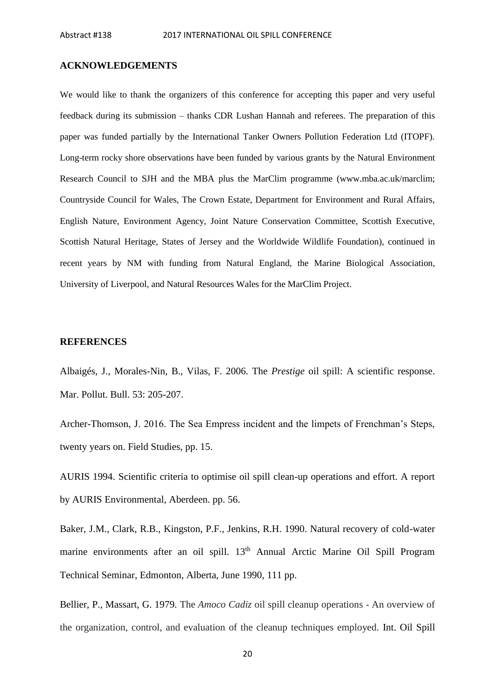#### **ACKNOWLEDGEMENTS**

We would like to thank the organizers of this conference for accepting this paper and very useful feedback during its submission – thanks CDR Lushan Hannah and referees. The preparation of this paper was funded partially by the International Tanker Owners Pollution Federation Ltd (ITOPF). Long-term rocky shore observations have been funded by various grants by the Natural Environment Research Council to SJH and the MBA plus the MarClim programme (www.mba.ac.uk/marclim; Countryside Council for Wales, The Crown Estate, Department for Environment and Rural Affairs, English Nature, Environment Agency, Joint Nature Conservation Committee, Scottish Executive, Scottish Natural Heritage, States of Jersey and the Worldwide Wildlife Foundation), continued in recent years by NM with funding from Natural England, the Marine Biological Association, University of Liverpool, and Natural Resources Wales for the MarClim Project.

#### **REFERENCES**

Albaigés, J., Morales-Nin, B., Vilas, F. 2006. The *Prestige* oil spill: A scientific response. Mar. Pollut. Bull. 53: 205-207.

Archer-Thomson, J. 2016. The Sea Empress incident and the limpets of Frenchman's Steps, twenty years on. Field Studies, pp. 15.

AURIS 1994. Scientific criteria to optimise oil spill clean-up operations and effort. A report by AURIS Environmental, Aberdeen. pp. 56.

Baker, J.M., Clark, R.B., Kingston, P.F., Jenkins, R.H. 1990. Natural recovery of cold-water marine environments after an oil spill. 13<sup>th</sup> Annual Arctic Marine Oil Spill Program Technical Seminar, Edmonton, Alberta, June 1990, 111 pp.

Bellier, P., Massart, G. 1979. The *Amoco Cadiz* oil spill cleanup operations - An overview of the organization, control, and evaluation of the cleanup techniques employed. Int. Oil Spill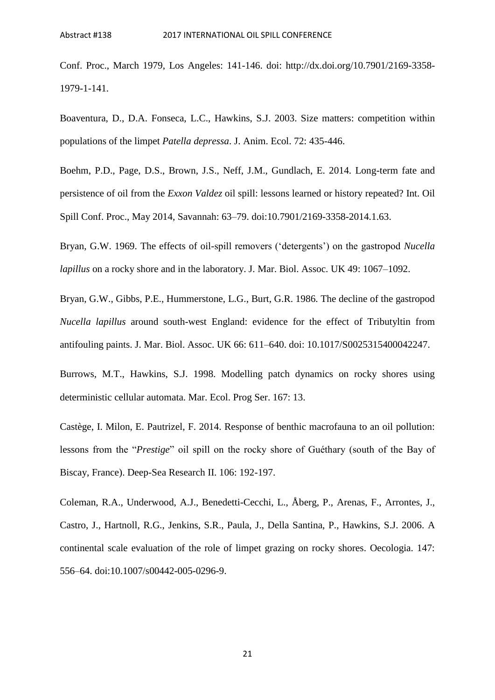Conf. Proc., March 1979, Los Angeles: 141-146. doi: http://dx.doi.org/10.7901/2169-3358- 1979-1-141.

Boaventura, D., D.A. Fonseca, L.C., Hawkins, S.J. 2003. Size matters: competition within populations of the limpet *Patella depressa*. J. Anim. Ecol. 72: 435-446.

Boehm, P.D., Page, D.S., Brown, J.S., Neff, J.M., Gundlach, E. 2014. Long-term fate and persistence of oil from the *Exxon Valdez* oil spill: lessons learned or history repeated? Int. Oil Spill Conf. Proc., May 2014, Savannah: 63–79. doi:10.7901/2169-3358-2014.1.63.

Bryan, G.W. 1969. The effects of oil-spill removers ('detergents') on the gastropod *Nucella lapillus* on a rocky shore and in the laboratory. J. Mar. Biol. Assoc. UK 49: 1067–1092.

Bryan, G.W., Gibbs, P.E., Hummerstone, L.G., Burt, G.R. 1986. The decline of the gastropod *Nucella lapillus* around south-west England: evidence for the effect of Tributyltin from antifouling paints. J. Mar. Biol. Assoc. UK 66: 611–640. doi: 10.1017/S0025315400042247.

Burrows, M.T., Hawkins, S.J. 1998. Modelling patch dynamics on rocky shores using deterministic cellular automata. Mar. Ecol. Prog Ser. 167: 13.

Castège, I. Milon, E. Pautrizel, F. 2014. Response of benthic macrofauna to an oil pollution: lessons from the "*Prestige*" oil spill on the rocky shore of Guéthary (south of the Bay of Biscay, France). Deep-Sea Research II. 106: 192-197.

Coleman, R.A., Underwood, A.J., Benedetti-Cecchi, L., Åberg, P., Arenas, F., Arrontes, J., Castro, J., Hartnoll, R.G., Jenkins, S.R., Paula, J., Della Santina, P., Hawkins, S.J. 2006. A continental scale evaluation of the role of limpet grazing on rocky shores. Oecologia. 147: 556–64. doi:10.1007/s00442-005-0296-9.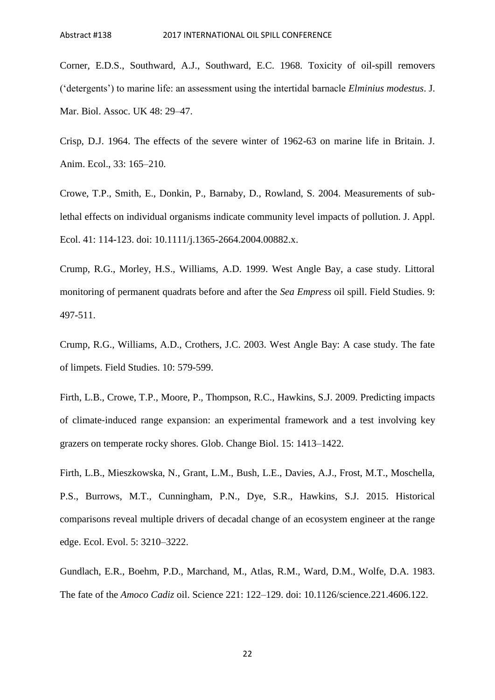Corner, E.D.S., Southward, A.J., Southward, E.C. 1968. Toxicity of oil-spill removers ('detergents') to marine life: an assessment using the intertidal barnacle *Elminius modestus*. J. Mar. Biol. Assoc. UK 48: 29–47.

Crisp, D.J. 1964. The effects of the severe winter of 1962-63 on marine life in Britain. J. Anim. Ecol., 33: 165–210.

Crowe, T.P., Smith, E., Donkin, P., Barnaby, D., Rowland, S. 2004. Measurements of sublethal effects on individual organisms indicate community level impacts of pollution. J. Appl. Ecol. 41: 114-123. doi: 10.1111/j.1365-2664.2004.00882.x.

Crump, R.G., Morley, H.S., Williams, A.D. 1999. West Angle Bay, a case study. Littoral monitoring of permanent quadrats before and after the *Sea Empress* oil spill. Field Studies. 9: 497-511.

Crump, R.G., Williams, A.D., Crothers, J.C. 2003. West Angle Bay: A case study. The fate of limpets. Field Studies. 10: 579-599.

Firth, L.B., Crowe, T.P., Moore, P., Thompson, R.C., Hawkins, S.J. 2009. Predicting impacts of climate‐induced range expansion: an experimental framework and a test involving key grazers on temperate rocky shores. Glob. Change Biol. 15: 1413–1422.

Firth, L.B., Mieszkowska, N., Grant, L.M., Bush, L.E., Davies, A.J., Frost, M.T., Moschella, P.S., Burrows, M.T., Cunningham, P.N., Dye, S.R., Hawkins, S.J. 2015. Historical comparisons reveal multiple drivers of decadal change of an ecosystem engineer at the range edge. Ecol. Evol. 5: 3210–3222.

Gundlach, E.R., Boehm, P.D., Marchand, M., Atlas, R.M., Ward, D.M., Wolfe, D.A. 1983. The fate of the *Amoco Cadiz* oil. Science 221: 122–129. doi: 10.1126/science.221.4606.122.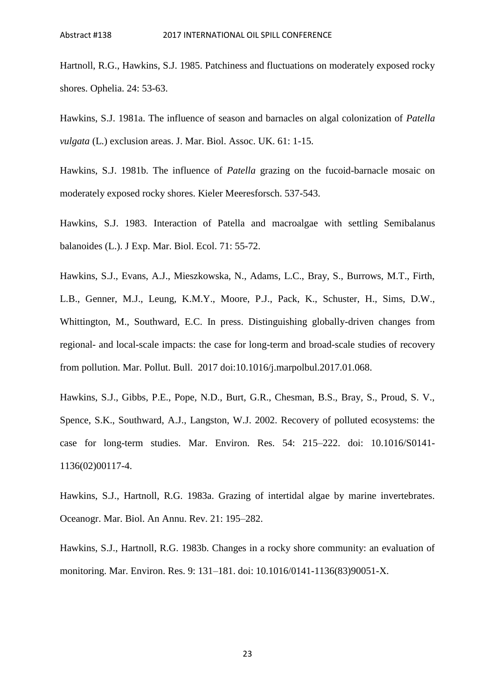Hartnoll, R.G., Hawkins, S.J. 1985. Patchiness and fluctuations on moderately exposed rocky shores. Ophelia. 24: 53-63.

Hawkins, S.J. 1981a. The influence of season and barnacles on algal colonization of *Patella vulgata* (L.) exclusion areas. J. Mar. Biol. Assoc. UK. 61: 1-15.

Hawkins, S.J. 1981b. The influence of *Patella* grazing on the fucoid-barnacle mosaic on moderately exposed rocky shores. Kieler Meeresforsch. 537-543.

Hawkins, S.J. 1983. Interaction of Patella and macroalgae with settling Semibalanus balanoides (L.). J Exp. Mar. Biol. Ecol. 71: 55-72.

Hawkins, S.J., Evans, A.J., Mieszkowska, N., Adams, L.C., Bray, S., Burrows, M.T., Firth, L.B., Genner, M.J., Leung, K.M.Y., Moore, P.J., Pack, K., Schuster, H., Sims, D.W., Whittington, M., Southward, E.C. In press. Distinguishing globally-driven changes from regional- and local-scale impacts: the case for long-term and broad-scale studies of recovery from pollution. Mar. Pollut. Bull. 2017 doi:10.1016/j.marpolbul.2017.01.068.

Hawkins, S.J., Gibbs, P.E., Pope, N.D., Burt, G.R., Chesman, B.S., Bray, S., Proud, S. V., Spence, S.K., Southward, A.J., Langston, W.J. 2002. Recovery of polluted ecosystems: the case for long-term studies. Mar. Environ. Res. 54: 215–222. doi: 10.1016/S0141- 1136(02)00117-4.

Hawkins, S.J., Hartnoll, R.G. 1983a. Grazing of intertidal algae by marine invertebrates. Oceanogr. Mar. Biol. An Annu. Rev. 21: 195–282.

Hawkins, S.J., Hartnoll, R.G. 1983b. Changes in a rocky shore community: an evaluation of monitoring. Mar. Environ. Res. 9: 131–181. doi: 10.1016/0141-1136(83)90051-X.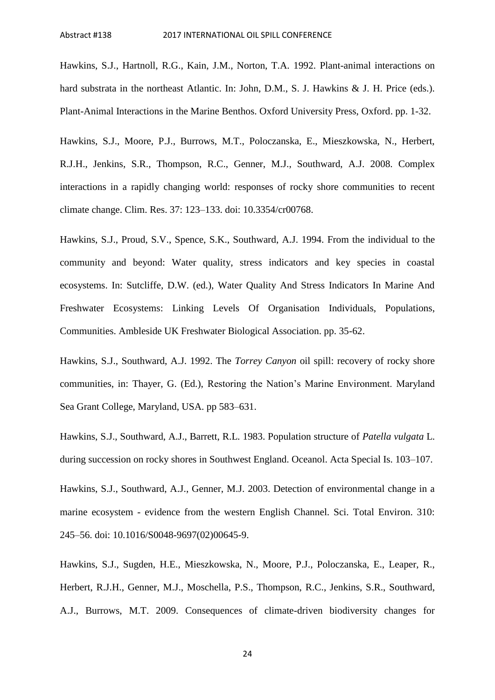Hawkins, S.J., Hartnoll, R.G., Kain, J.M., Norton, T.A. 1992. Plant-animal interactions on hard substrata in the northeast Atlantic. In: John, D.M., S. J. Hawkins & J. H. Price (eds.). Plant-Animal Interactions in the Marine Benthos. Oxford University Press, Oxford. pp. 1-32.

Hawkins, S.J., Moore, P.J., Burrows, M.T., Poloczanska, E., Mieszkowska, N., Herbert, R.J.H., Jenkins, S.R., Thompson, R.C., Genner, M.J., Southward, A.J. 2008. Complex interactions in a rapidly changing world: responses of rocky shore communities to recent climate change. Clim. Res. 37: 123–133. doi: 10.3354/cr00768.

Hawkins, S.J., Proud, S.V., Spence, S.K., Southward, A.J. 1994. From the individual to the community and beyond: Water quality, stress indicators and key species in coastal ecosystems. In: Sutcliffe, D.W. (ed.), Water Quality And Stress Indicators In Marine And Freshwater Ecosystems: Linking Levels Of Organisation Individuals, Populations, Communities. Ambleside UK Freshwater Biological Association. pp. 35-62.

Hawkins, S.J., Southward, A.J. 1992. The *Torrey Canyon* oil spill: recovery of rocky shore communities, in: Thayer, G. (Ed.), Restoring the Nation's Marine Environment. Maryland Sea Grant College, Maryland, USA. pp 583–631.

Hawkins, S.J., Southward, A.J., Barrett, R.L. 1983. Population structure of *Patella vulgata* L. during succession on rocky shores in Southwest England. Oceanol. Acta Special Is. 103–107.

Hawkins, S.J., Southward, A.J., Genner, M.J. 2003. Detection of environmental change in a marine ecosystem - evidence from the western English Channel. Sci. Total Environ. 310: 245–56. doi: 10.1016/S0048-9697(02)00645-9.

Hawkins, S.J., Sugden, H.E., Mieszkowska, N., Moore, P.J., Poloczanska, E., Leaper, R., Herbert, R.J.H., Genner, M.J., Moschella, P.S., Thompson, R.C., Jenkins, S.R., Southward, A.J., Burrows, M.T. 2009. Consequences of climate-driven biodiversity changes for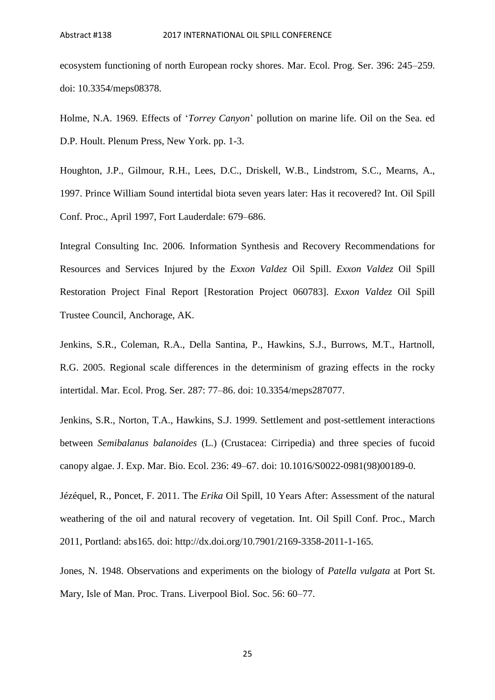ecosystem functioning of north European rocky shores. Mar. Ecol. Prog. Ser. 396: 245–259. doi: 10.3354/meps08378.

Holme, N.A. 1969. Effects of '*Torrey Canyon*' pollution on marine life. Oil on the Sea. ed D.P. Hoult. Plenum Press, New York. pp. 1-3.

Houghton, J.P., Gilmour, R.H., Lees, D.C., Driskell, W.B., Lindstrom, S.C., Mearns, A., 1997. Prince William Sound intertidal biota seven years later: Has it recovered? Int. Oil Spill Conf. Proc., April 1997, Fort Lauderdale: 679–686.

Integral Consulting Inc. 2006. Information Synthesis and Recovery Recommendations for Resources and Services Injured by the *Exxon Valdez* Oil Spill. *Exxon Valdez* Oil Spill Restoration Project Final Report [Restoration Project 060783]. *Exxon Valdez* Oil Spill Trustee Council, Anchorage, AK.

Jenkins, S.R., Coleman, R.A., Della Santina, P., Hawkins, S.J., Burrows, M.T., Hartnoll, R.G. 2005. Regional scale differences in the determinism of grazing effects in the rocky intertidal. Mar. Ecol. Prog. Ser. 287: 77–86. doi: 10.3354/meps287077.

Jenkins, S.R., Norton, T.A., Hawkins, S.J. 1999. Settlement and post-settlement interactions between *Semibalanus balanoides* (L.) (Crustacea: Cirripedia) and three species of fucoid canopy algae. J. Exp. Mar. Bio. Ecol. 236: 49–67. doi: 10.1016/S0022-0981(98)00189-0.

Jézéquel, R., Poncet, F. 2011. The *Erika* Oil Spill, 10 Years After: Assessment of the natural weathering of the oil and natural recovery of vegetation. Int. Oil Spill Conf. Proc., March 2011, Portland: abs165. doi: http://dx.doi.org/10.7901/2169-3358-2011-1-165.

Jones, N. 1948. Observations and experiments on the biology of *Patella vulgata* at Port St. Mary, Isle of Man. Proc. Trans. Liverpool Biol. Soc. 56: 60–77.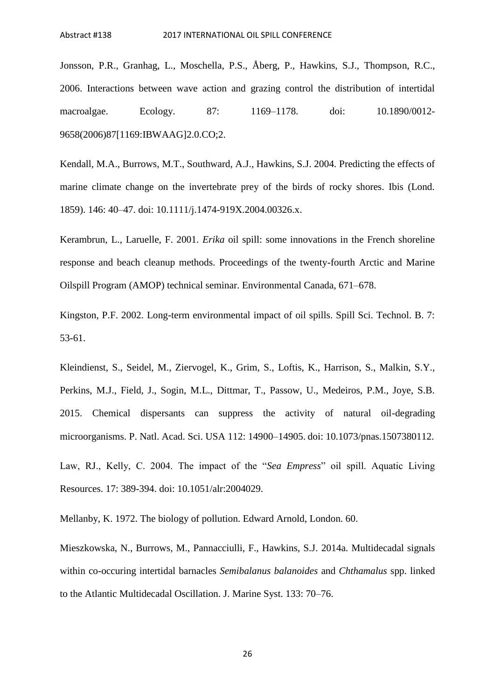Jonsson, P.R., Granhag, L., Moschella, P.S., Åberg, P., Hawkins, S.J., Thompson, R.C., 2006. Interactions between wave action and grazing control the distribution of intertidal macroalgae. Ecology. 87: 1169–1178. doi: 10.1890/0012- 9658(2006)87[1169:IBWAAG]2.0.CO;2.

Kendall, M.A., Burrows, M.T., Southward, A.J., Hawkins, S.J. 2004. Predicting the effects of marine climate change on the invertebrate prey of the birds of rocky shores. Ibis (Lond. 1859). 146: 40–47. doi: 10.1111/j.1474-919X.2004.00326.x.

Kerambrun, L., Laruelle, F. 2001. *Erika* oil spill: some innovations in the French shoreline response and beach cleanup methods. Proceedings of the twenty-fourth Arctic and Marine Oilspill Program (AMOP) technical seminar. Environmental Canada, 671–678.

Kingston, P.F. 2002. Long-term environmental impact of oil spills. Spill Sci. Technol. B. 7: 53-61.

Kleindienst, S., Seidel, M., Ziervogel, K., Grim, S., Loftis, K., Harrison, S., Malkin, S.Y., Perkins, M.J., Field, J., Sogin, M.L., Dittmar, T., Passow, U., Medeiros, P.M., Joye, S.B. 2015. Chemical dispersants can suppress the activity of natural oil-degrading microorganisms. P. Natl. Acad. Sci. USA 112: 14900–14905. doi: 10.1073/pnas.1507380112.

Law, RJ., Kelly, C. 2004. The impact of the "*Sea Empress*" oil spill. Aquatic Living Resources. 17: 389-394. doi: 10.1051/alr:2004029.

Mellanby, K. 1972. The biology of pollution. Edward Arnold, London. 60.

Mieszkowska, N., Burrows, M., Pannacciulli, F., Hawkins, S.J. 2014a. Multidecadal signals within co-occuring intertidal barnacles *Semibalanus balanoides* and *Chthamalus* spp. linked to the Atlantic Multidecadal Oscillation. J. Marine Syst. 133: 70–76.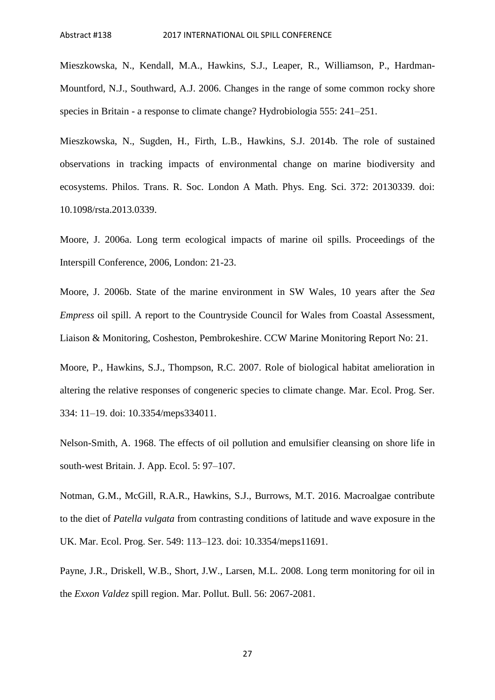Mieszkowska, N., Kendall, M.A., Hawkins, S.J., Leaper, R., Williamson, P., Hardman-Mountford, N.J., Southward, A.J. 2006. Changes in the range of some common rocky shore species in Britain - a response to climate change? Hydrobiologia 555: 241–251.

Mieszkowska, N., Sugden, H., Firth, L.B., Hawkins, S.J. 2014b. The role of sustained observations in tracking impacts of environmental change on marine biodiversity and ecosystems. Philos. Trans. R. Soc. London A Math. Phys. Eng. Sci. 372: 20130339. doi: 10.1098/rsta.2013.0339.

Moore, J. 2006a. Long term ecological impacts of marine oil spills. Proceedings of the Interspill Conference, 2006, London: 21-23.

Moore, J. 2006b. State of the marine environment in SW Wales, 10 years after the *Sea Empress* oil spill. A report to the Countryside Council for Wales from Coastal Assessment, Liaison & Monitoring, Cosheston, Pembrokeshire. CCW Marine Monitoring Report No: 21.

Moore, P., Hawkins, S.J., Thompson, R.C. 2007. Role of biological habitat amelioration in altering the relative responses of congeneric species to climate change. Mar. Ecol. Prog. Ser. 334: 11–19. doi: 10.3354/meps334011.

Nelson-Smith, A. 1968. The effects of oil pollution and emulsifier cleansing on shore life in south-west Britain. J. App. Ecol. 5: 97–107.

Notman, G.M., McGill, R.A.R., Hawkins, S.J., Burrows, M.T. 2016. Macroalgae contribute to the diet of *Patella vulgata* from contrasting conditions of latitude and wave exposure in the UK. Mar. Ecol. Prog. Ser. 549: 113–123. doi: 10.3354/meps11691.

Payne, J.R., Driskell, W.B., Short, J.W., Larsen, M.L. 2008. Long term monitoring for oil in the *Exxon Valdez* spill region. Mar. Pollut. Bull. 56: 2067-2081.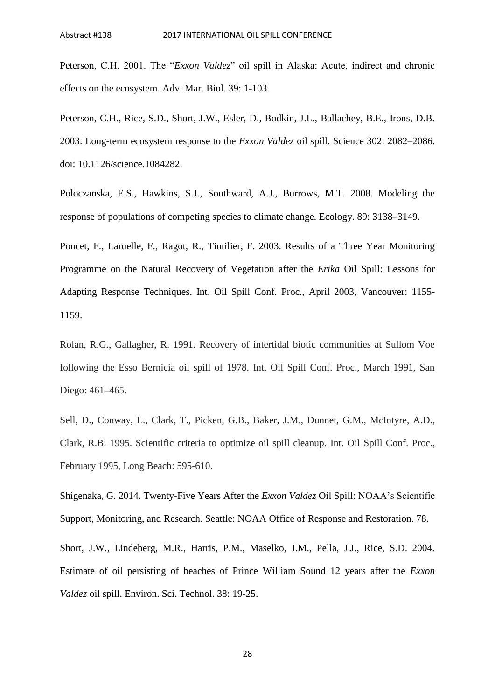Peterson, C.H. 2001. The "*Exxon Valdez*" oil spill in Alaska: Acute, indirect and chronic effects on the ecosystem. Adv. Mar. Biol. 39: 1-103.

Peterson, C.H., Rice, S.D., Short, J.W., Esler, D., Bodkin, J.L., Ballachey, B.E., Irons, D.B. 2003. Long-term ecosystem response to the *Exxon Valdez* oil spill. Science 302: 2082–2086. doi: 10.1126/science.1084282.

Poloczanska, E.S., Hawkins, S.J., Southward, A.J., Burrows, M.T. 2008. Modeling the response of populations of competing species to climate change. Ecology. 89: 3138–3149.

Poncet, F., Laruelle, F., Ragot, R., Tintilier, F. 2003. Results of a Three Year Monitoring Programme on the Natural Recovery of Vegetation after the *Erika* Oil Spill: Lessons for Adapting Response Techniques. Int. Oil Spill Conf. Proc., April 2003, Vancouver: 1155- 1159.

Rolan, R.G., Gallagher, R. 1991. Recovery of intertidal biotic communities at Sullom Voe following the Esso Bernicia oil spill of 1978. Int. Oil Spill Conf. Proc., March 1991, San Diego: 461–465.

Sell, D., Conway, L., Clark, T., Picken, G.B., Baker, J.M., Dunnet, G.M., McIntyre, A.D., Clark, R.B. 1995. Scientific criteria to optimize oil spill cleanup. Int. Oil Spill Conf. Proc., February 1995, Long Beach: 595-610.

Shigenaka, G. 2014. Twenty-Five Years After the *Exxon Valdez* Oil Spill: NOAA's Scientific Support, Monitoring, and Research. Seattle: NOAA Office of Response and Restoration. 78.

Short, J.W., Lindeberg, M.R., Harris, P.M., Maselko, J.M., Pella, J.J., Rice, S.D. 2004. Estimate of oil persisting of beaches of Prince William Sound 12 years after the *Exxon Valdez* oil spill. Environ. Sci. Technol. 38: 19-25.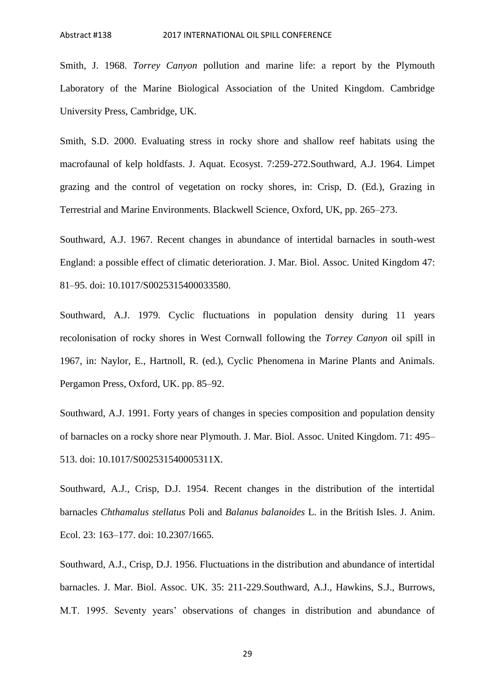Smith, J. 1968. *Torrey Canyon* pollution and marine life: a report by the Plymouth Laboratory of the Marine Biological Association of the United Kingdom. Cambridge University Press, Cambridge, UK.

Smith, S.D. 2000. Evaluating stress in rocky shore and shallow reef habitats using the macrofaunal of kelp holdfasts. J. Aquat. Ecosyst. 7:259-272.Southward, A.J. 1964. Limpet grazing and the control of vegetation on rocky shores, in: Crisp, D. (Ed.), Grazing in Terrestrial and Marine Environments. Blackwell Science, Oxford, UK, pp. 265–273.

Southward, A.J. 1967. Recent changes in abundance of intertidal barnacles in south-west England: a possible effect of climatic deterioration. J. Mar. Biol. Assoc. United Kingdom 47: 81–95. doi: 10.1017/S0025315400033580.

Southward, A.J. 1979. Cyclic fluctuations in population density during 11 years recolonisation of rocky shores in West Cornwall following the *Torrey Canyon* oil spill in 1967, in: Naylor, E., Hartnoll, R. (ed.), Cyclic Phenomena in Marine Plants and Animals. Pergamon Press, Oxford, UK. pp. 85–92.

Southward, A.J. 1991. Forty years of changes in species composition and population density of barnacles on a rocky shore near Plymouth. J. Mar. Biol. Assoc. United Kingdom. 71: 495– 513. doi: 10.1017/S002531540005311X.

Southward, A.J., Crisp, D.J. 1954. Recent changes in the distribution of the intertidal barnacles *Chthamalus stellatus* Poli and *Balanus balanoides* L. in the British Isles. J. Anim. Ecol. 23: 163–177. doi: 10.2307/1665.

Southward, A.J., Crisp, D.J. 1956. Fluctuations in the distribution and abundance of intertidal barnacles. J. Mar. Biol. Assoc. UK. 35: 211-229.Southward, A.J., Hawkins, S.J., Burrows, M.T. 1995. Seventy years' observations of changes in distribution and abundance of